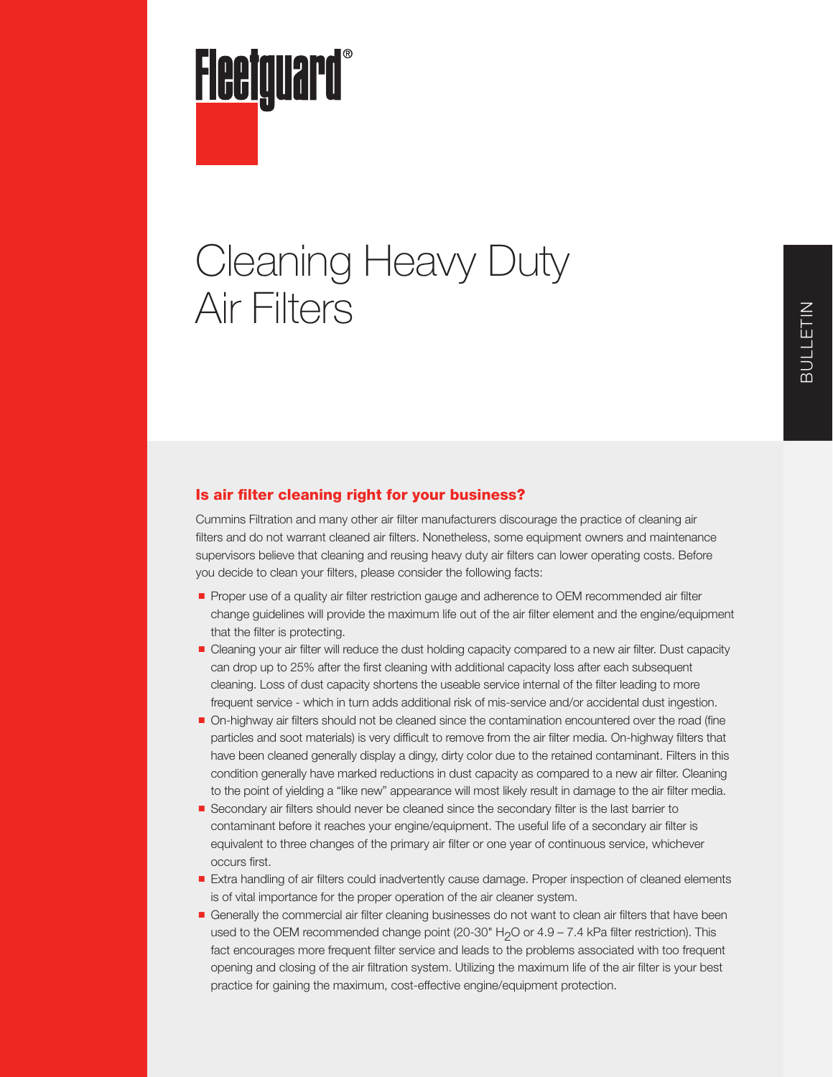

# Cleaning Heavy Duty Air Filters

## Is air filter cleaning right for your business?

Cummins Filtration and many other air filter manufacturers discourage the practice of cleaning air filters and do not warrant cleaned air filters. Nonetheless, some equipment owners and maintenance supervisors believe that cleaning and reusing heavy duty air filters can lower operating costs. Before you decide to clean your filters, please consider the following facts:

- Proper use of a quality air filter restriction gauge and adherence to OEM recommended air filter change guidelines will provide the maximum life out of the air filter element and the engine/equipment that the filter is protecting.
- Cleaning your air filter will reduce the dust holding capacity compared to a new air filter. Dust capacity can drop up to 25% after the first cleaning with additional capacity loss after each subsequent cleaning. Loss of dust capacity shortens the useable service internal of the filter leading to more frequent service - which in turn adds additional risk of mis-service and/or accidental dust ingestion.
- On-highway air filters should not be cleaned since the contamination encountered over the road (fine particles and soot materials) is very difficult to remove from the air filter media. On-highway filters that have been cleaned generally display a dingy, dirty color due to the retained contaminant. Filters in this condition generally have marked reductions in dust capacity as compared to a new air filter. Cleaning to the point of yielding a "like new" appearance will most likely result in damage to the air filter media.
- Secondary air filters should never be cleaned since the secondary filter is the last barrier to contaminant before it reaches your engine/equipment. The useful life of a secondary air filter is equivalent to three changes of the primary air filter or one year of continuous service, whichever occurs first.
- Extra handling of air filters could inadvertently cause damage. Proper inspection of cleaned elements is of vital importance for the proper operation of the air cleaner system.
- Generally the commercial air filter cleaning businesses do not want to clean air filters that have been used to the OEM recommended change point (20-30" H<sub>2</sub>O or 4.9 – 7.4 kPa filter restriction). This fact encourages more frequent filter service and leads to the problems associated with too frequent opening and closing of the air filtration system. Utilizing the maximum life of the air filter is your best practice for gaining the maximum, cost-effective engine/equipment protection.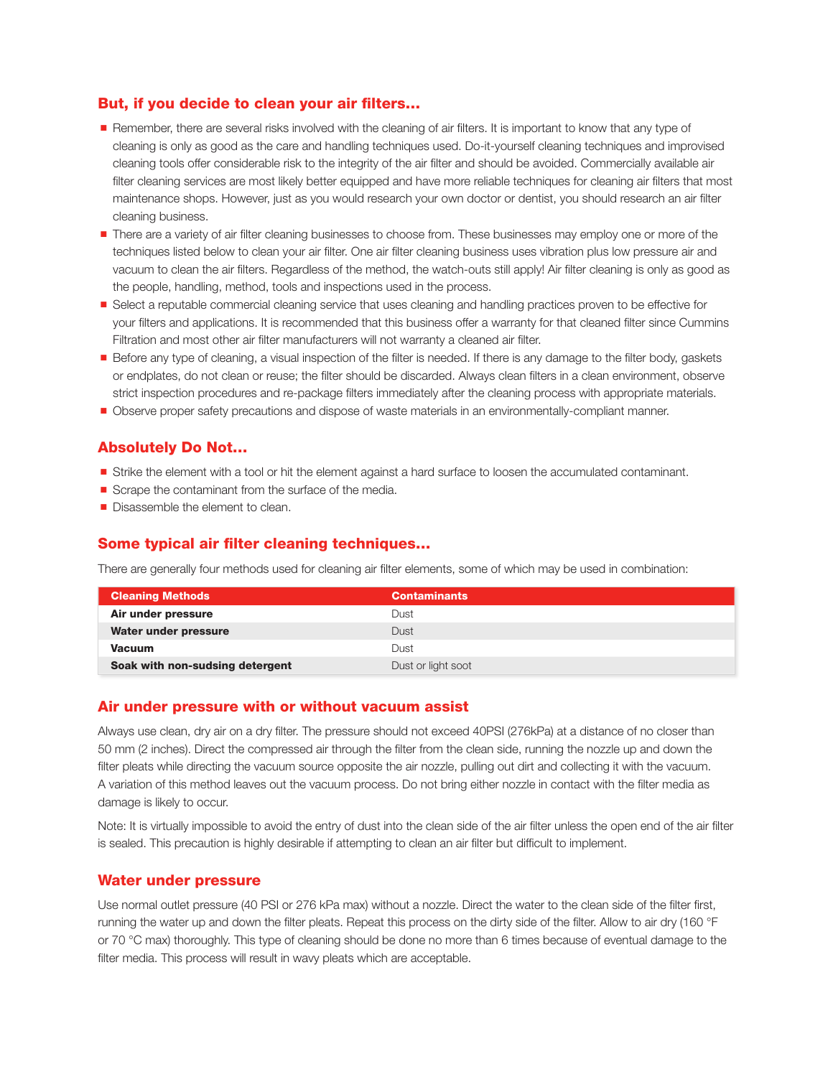## But, if you decide to clean your air filters…

- Remember, there are several risks involved with the cleaning of air filters. It is important to know that any type of cleaning is only as good as the care and handling techniques used. Do-it-yourself cleaning techniques and improvised cleaning tools offer considerable risk to the integrity of the air filter and should be avoided. Commercially available air filter cleaning services are most likely better equipped and have more reliable techniques for cleaning air filters that most maintenance shops. However, just as you would research your own doctor or dentist, you should research an air filter cleaning business.
- There are a variety of air filter cleaning businesses to choose from. These businesses may employ one or more of the techniques listed below to clean your air filter. One air filter cleaning business uses vibration plus low pressure air and vacuum to clean the air filters. Regardless of the method, the watch-outs still apply! Air filter cleaning is only as good as the people, handling, method, tools and inspections used in the process.
- Select a reputable commercial cleaning service that uses cleaning and handling practices proven to be effective for your filters and applications. It is recommended that this business offer a warranty for that cleaned filter since Cummins Filtration and most other air filter manufacturers will not warranty a cleaned air filter.
- Before any type of cleaning, a visual inspection of the filter is needed. If there is any damage to the filter body, gaskets or endplates, do not clean or reuse; the filter should be discarded. Always clean filters in a clean environment, observe strict inspection procedures and re-package filters immediately after the cleaning process with appropriate materials.
- Observe proper safety precautions and dispose of waste materials in an environmentally-compliant manner.

### Absolutely Do Not…

- Strike the element with a tool or hit the element against a hard surface to loosen the accumulated contaminant.
- Scrape the contaminant from the surface of the media.
- Disassemble the element to clean.

#### Some typical air filter cleaning techniques…

There are generally four methods used for cleaning air filter elements, some of which may be used in combination:

| <b>Cleaning Methods</b>         | <b>Contaminants</b> |
|---------------------------------|---------------------|
| Air under pressure              | Dust                |
| Water under pressure            | Dust                |
| <b>Vacuum</b>                   | Dust                |
| Soak with non-sudsing detergent | Dust or light soot  |

#### Air under pressure with or without vacuum assist

Always use clean, dry air on a dry filter. The pressure should not exceed 40PSI (276kPa) at a distance of no closer than 50 mm (2 inches). Direct the compressed air through the filter from the clean side, running the nozzle up and down the filter pleats while directing the vacuum source opposite the air nozzle, pulling out dirt and collecting it with the vacuum. A variation of this method leaves out the vacuum process. Do not bring either nozzle in contact with the filter media as damage is likely to occur.

Note: It is virtually impossible to avoid the entry of dust into the clean side of the air filter unless the open end of the air filter is sealed. This precaution is highly desirable if attempting to clean an air filter but difficult to implement.

#### Water under pressure

Use normal outlet pressure (40 PSI or 276 kPa max) without a nozzle. Direct the water to the clean side of the filter first, running the water up and down the filter pleats. Repeat this process on the dirty side of the filter. Allow to air dry (160 °F or 70 °C max) thoroughly. This type of cleaning should be done no more than 6 times because of eventual damage to the filter media. This process will result in wavy pleats which are acceptable.